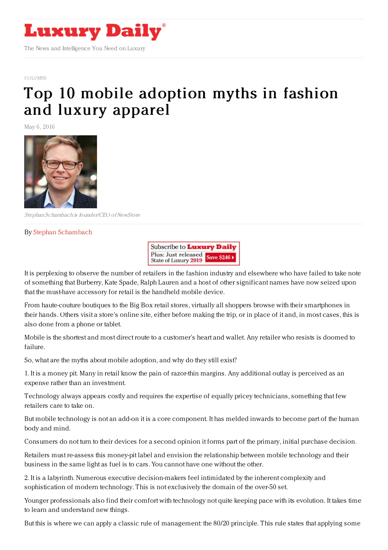

[COLUMNS](https://www.luxurydaily.com/category/opinion/columns/)

## Top 10 mobile [adoption](https://www.luxurydaily.com/top-10-mobile-adoption-myths-in-fashion-and-luxury-apparel/) myths in fashion and luxury apparel

May 6, 2016



Stephan Schambach is founder/CEO ofNewStore

## By Stephan [Schambach](http://www.newstore.com)



It is perplexing to observe the number of retailers in the fashion industry and elsewhere who have failed to take note of something that Burberry, Kate Spade, Ralph Lauren and a host of other significant names have now seized upon that the must-have accessory for retail is the handheld mobile device.

From haute-couture boutiques to the Big Box retail stores, virtually all shoppers browse with their smartphones in their hands. Others visit a store's online site, either before making the trip, or in place of it and, in most cases, this is also done from a phone or tablet.

Mobile is the shortest and most direct route to a customer's heart and wallet. Any retailer who resists is doomed to failure.

So, what are the myths about mobile adoption, and why do they still exist?

1. It is a money pit. Many in retail know the pain of razor-thin margins. Any additional outlay is perceived as an expense rather than an investment.

Technology always appears costly and requires the expertise of equally pricey technicians, something that few retailers care to take on.

But mobile technology is not an add-on it is a core component. It has melded inwards to become part of the human body and mind.

Consumers do not turn to their devices for a second opinion it forms part of the primary, initial purchase decision.

Retailers must re-assess this money-pit label and envision the relationship between mobile technology and their business in the same light as fuel is to cars. You cannot have one without the other.

2. It is a labyrinth. Numerous executive decision-makers feel intimidated by the inherent complexity and sophistication of modern technology. This is not exclusively the domain of the over-50 set.

Younger professionals also find their comfort with technology not quite keeping pace with its evolution. It takes time to learn and understand new things.

But this is where we can apply a classic rule of management: the 80/20 principle. This rule states that applying some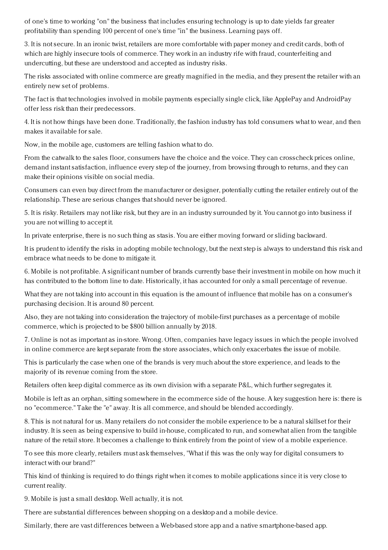of one's time to working "on" the business that includes ensuring technology is up to date yields far greater profitability than spending 100 percent of one's time "in" the business. Learning pays off.

3. It is not secure. In an ironic twist, retailers are more comfortable with paper money and credit cards, both of which are highly insecure tools of commerce. They work in an industry rife with fraud, counterfeiting and undercutting, but these are understood and accepted as industry risks.

The risks associated with online commerce are greatly magnified in the media, and they present the retailer with an entirely new set of problems.

The fact is that technologies involved in mobile payments especially single click, like ApplePay and AndroidPay offer less risk than their predecessors.

4. It is not how things have been done. Traditionally, the fashion industry has told consumers what to wear, and then makes it available for sale.

Now, in the mobile age, customers are telling fashion what to do.

From the catwalk to the sales floor, consumers have the choice and the voice. They can crosscheck prices online, demand instant satisfaction, influence every step of the journey, from browsing through to returns, and they can make their opinions visible on social media.

Consumers can even buy direct from the manufacturer or designer, potentially cutting the retailer entirely out of the relationship. These are serious changes that should never be ignored.

5. It is risky. Retailers may not like risk, but they are in an industry surrounded by it. You cannot go into business if you are not willing to accept it.

In private enterprise, there is no such thing as stasis. You are either moving forward or sliding backward.

It is prudent to identify the risks in adopting mobile technology, but the next step is always to understand this risk and embrace what needs to be done to mitigate it.

6. Mobile is not profitable. A significant number of brands currently base their investment in mobile on how much it has contributed to the bottom line to date. Historically, it has accounted for only a small percentage of revenue.

What they are not taking into account in this equation is the amount of influence that mobile has on a consumer's purchasing decision. It is around 80 percent.

Also, they are not taking into consideration the trajectory of mobile-first purchases as a percentage of mobile commerce, which is projected to be \$800 billion annually by 2018.

7. Online is not as important as in-store. Wrong. Often, companies have legacy issues in which the people involved in online commerce are kept separate from the store associates, which only exacerbates the issue of mobile.

This is particularly the case when one of the brands is very much about the store experience, and leads to the majority of its revenue coming from the store.

Retailers often keep digital commerce as its own division with a separate P&L, which further segregates it.

Mobile is left as an orphan, sitting somewhere in the ecommerce side of the house. A key suggestion here is: there is no "ecommerce." Take the "e" away. It is all commerce, and should be blended accordingly.

8. This is not natural for us. Many retailers do not consider the mobile experience to be a natural skillset for their industry. It is seen as being expensive to build in-house, complicated to run, and somewhat alien from the tangible nature of the retail store. It becomes a challenge to think entirely from the point of view of a mobile experience.

To see this more clearly, retailers must ask themselves, "What if this was the only way for digital consumers to interact with our brand?"

This kind of thinking is required to do things right when it comes to mobile applications since it is very close to current reality.

9. Mobile is just a small desktop. Well actually, it is not.

There are substantial differences between shopping on a desktop and a mobile device.

Similarly, there are vast differences between a Web-based store app and a native smartphone-based app.